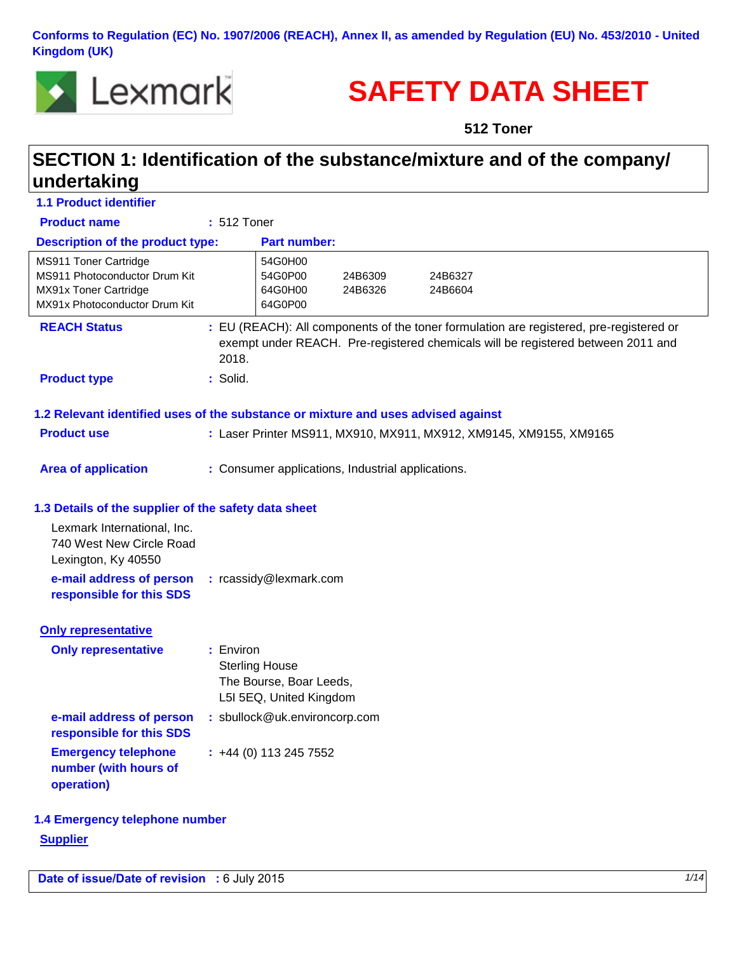**Conforms to Regulation (EC) No. 1907/2006 (REACH), Annex II, as amended by Regulation (EU) No. 453/2010 - United Kingdom (UK)** 



# **SAFETY DATA SHEET**

**512 Toner**

# **SECTION 1: Identification of the substance/mixture and of the company/ undertaking**

| <b>1.1 Product identifier</b>                                                                                    |                                                                                          |                    |                                                                                                                                                                             |  |
|------------------------------------------------------------------------------------------------------------------|------------------------------------------------------------------------------------------|--------------------|-----------------------------------------------------------------------------------------------------------------------------------------------------------------------------|--|
| <b>Product name</b>                                                                                              | : 512 Toner                                                                              |                    |                                                                                                                                                                             |  |
| <b>Description of the product type:</b>                                                                          |                                                                                          | Part number:       |                                                                                                                                                                             |  |
| MS911 Toner Cartridge<br>MS911 Photoconductor Drum Kit<br>MX91x Toner Cartridge<br>MX91x Photoconductor Drum Kit | 54G0H00<br>54G0P00<br>64G0H00<br>64G0P00                                                 | 24B6309<br>24B6326 | 24B6327<br>24B6604                                                                                                                                                          |  |
| <b>REACH Status</b>                                                                                              | 2018.                                                                                    |                    | : EU (REACH): All components of the toner formulation are registered, pre-registered or<br>exempt under REACH. Pre-registered chemicals will be registered between 2011 and |  |
| <b>Product type</b>                                                                                              | : Solid.                                                                                 |                    |                                                                                                                                                                             |  |
| 1.2 Relevant identified uses of the substance or mixture and uses advised against                                |                                                                                          |                    |                                                                                                                                                                             |  |
| <b>Product use</b>                                                                                               |                                                                                          |                    | : Laser Printer MS911, MX910, MX911, MX912, XM9145, XM9155, XM9165                                                                                                          |  |
|                                                                                                                  |                                                                                          |                    |                                                                                                                                                                             |  |
| <b>Area of application</b>                                                                                       | : Consumer applications, Industrial applications.                                        |                    |                                                                                                                                                                             |  |
|                                                                                                                  |                                                                                          |                    |                                                                                                                                                                             |  |
| 1.3 Details of the supplier of the safety data sheet                                                             |                                                                                          |                    |                                                                                                                                                                             |  |
| Lexmark International, Inc.<br>740 West New Circle Road<br>Lexington, Ky 40550                                   |                                                                                          |                    |                                                                                                                                                                             |  |
| e-mail address of person<br>responsible for this SDS                                                             | : rcassidy@lexmark.com                                                                   |                    |                                                                                                                                                                             |  |
| <b>Only representative</b>                                                                                       |                                                                                          |                    |                                                                                                                                                                             |  |
| <b>Only representative</b>                                                                                       | : Environ<br><b>Sterling House</b><br>The Bourse, Boar Leeds,<br>L5I 5EQ, United Kingdom |                    |                                                                                                                                                                             |  |
| e-mail address of person<br>responsible for this SDS                                                             | : sbullock@uk.environcorp.com                                                            |                    |                                                                                                                                                                             |  |
| <b>Emergency telephone</b><br>number (with hours of<br>operation)                                                | $: +44(0)$ 113 245 7552                                                                  |                    |                                                                                                                                                                             |  |
| 1.4 Emergency telephone number                                                                                   |                                                                                          |                    |                                                                                                                                                                             |  |
| <b>Supplier</b>                                                                                                  |                                                                                          |                    |                                                                                                                                                                             |  |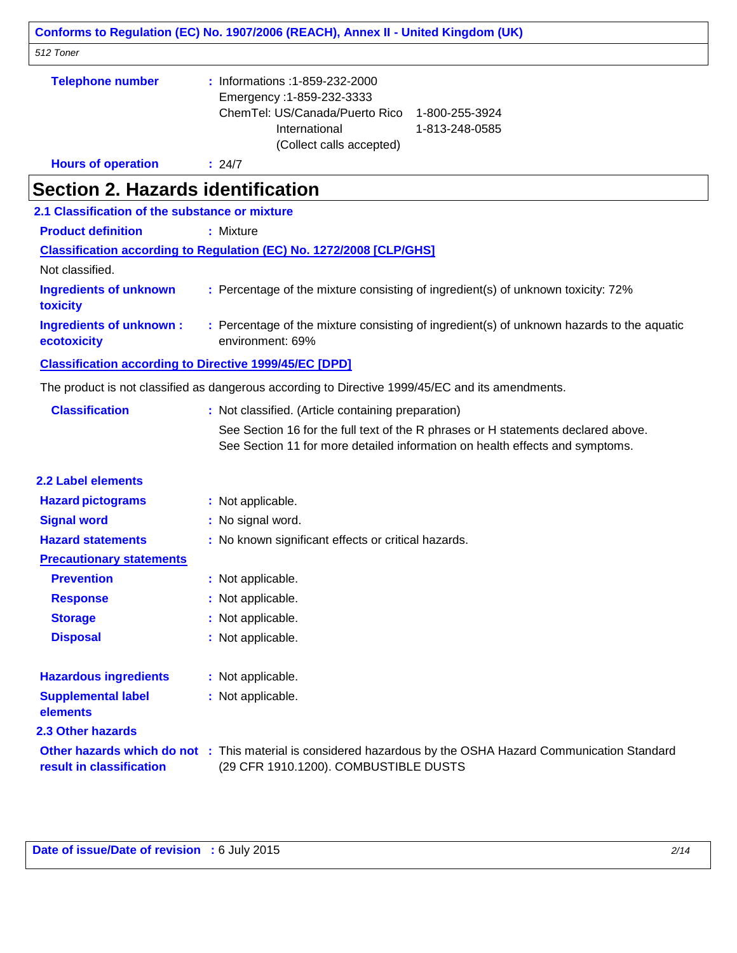|                                                               | Conforms to Regulation (EC) No. 1907/2006 (REACH), Annex II - United Kingdom (UK)                                                                                               |  |  |
|---------------------------------------------------------------|---------------------------------------------------------------------------------------------------------------------------------------------------------------------------------|--|--|
| 512 Toner                                                     |                                                                                                                                                                                 |  |  |
| <b>Telephone number</b>                                       | : Informations : 1-859-232-2000<br>Emergency: 1-859-232-3333<br>ChemTel: US/Canada/Puerto Rico<br>1-800-255-3924<br>International<br>1-813-248-0585<br>(Collect calls accepted) |  |  |
| <b>Hours of operation</b>                                     | : 24/7                                                                                                                                                                          |  |  |
| <b>Section 2. Hazards identification</b>                      |                                                                                                                                                                                 |  |  |
| 2.1 Classification of the substance or mixture                |                                                                                                                                                                                 |  |  |
| <b>Product definition</b>                                     | : Mixture                                                                                                                                                                       |  |  |
|                                                               | <b>Classification according to Regulation (EC) No. 1272/2008 [CLP/GHS]</b>                                                                                                      |  |  |
| Not classified.                                               |                                                                                                                                                                                 |  |  |
| <b>Ingredients of unknown</b><br>toxicity                     | : Percentage of the mixture consisting of ingredient(s) of unknown toxicity: 72%                                                                                                |  |  |
| <b>Ingredients of unknown:</b><br>ecotoxicity                 | : Percentage of the mixture consisting of ingredient(s) of unknown hazards to the aquatic<br>environment: 69%                                                                   |  |  |
| <b>Classification according to Directive 1999/45/EC [DPD]</b> |                                                                                                                                                                                 |  |  |
|                                                               | The product is not classified as dangerous according to Directive 1999/45/EC and its amendments.                                                                                |  |  |
| <b>Classification</b>                                         | : Not classified. (Article containing preparation)                                                                                                                              |  |  |
|                                                               | See Section 16 for the full text of the R phrases or H statements declared above.<br>See Section 11 for more detailed information on health effects and symptoms.               |  |  |
| <b>2.2 Label elements</b>                                     |                                                                                                                                                                                 |  |  |
| <b>Hazard pictograms</b>                                      | : Not applicable.                                                                                                                                                               |  |  |
| <b>Signal word</b>                                            | : No signal word.                                                                                                                                                               |  |  |
| <b>Hazard statements</b>                                      | : No known significant effects or critical hazards.                                                                                                                             |  |  |
| <b>Precautionary statements</b>                               |                                                                                                                                                                                 |  |  |
| <b>Prevention</b>                                             | : Not applicable.                                                                                                                                                               |  |  |
| <b>Response</b>                                               | : Not applicable.                                                                                                                                                               |  |  |
| <b>Storage</b>                                                | : Not applicable.                                                                                                                                                               |  |  |
| <b>Disposal</b>                                               | : Not applicable.                                                                                                                                                               |  |  |
| <b>Hazardous ingredients</b>                                  | : Not applicable.                                                                                                                                                               |  |  |
| <b>Supplemental label</b><br>elements                         | : Not applicable.                                                                                                                                                               |  |  |
| 2.3 Other hazards                                             |                                                                                                                                                                                 |  |  |
| result in classification                                      | Other hazards which do not : This material is considered hazardous by the OSHA Hazard Communication Standard<br>(29 CFR 1910.1200). COMBUSTIBLE DUSTS                           |  |  |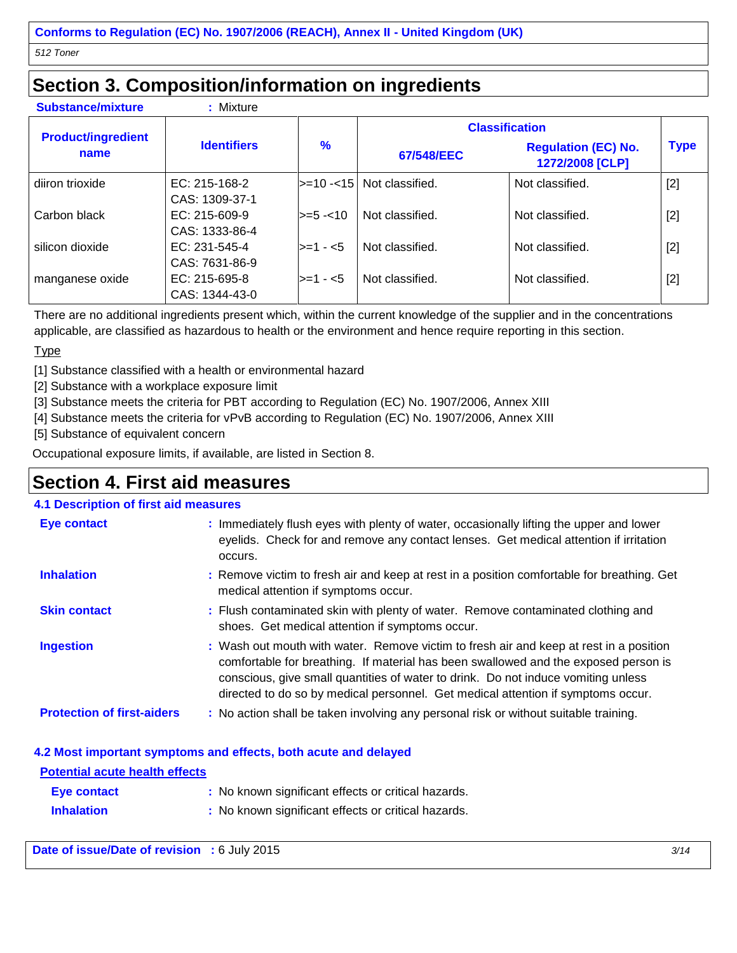### **Section 3. Composition/information on ingredients**

**Substance/mixture :** Mixture

|                                   | <b>Identifiers</b>                | $\frac{9}{6}$    | <b>Classification</b>      |                                               |             |
|-----------------------------------|-----------------------------------|------------------|----------------------------|-----------------------------------------------|-------------|
| <b>Product/ingredient</b><br>name |                                   |                  | 67/548/EEC                 | <b>Regulation (EC) No.</b><br>1272/2008 [CLP] | <b>Type</b> |
| diiron trioxide                   | $EC: 215-168-2$<br>CAS: 1309-37-1 |                  | l>=10 -<15 Not classified. | Not classified.                               | $[2]$       |
| Carbon black                      | $EC: 215-609-9$<br>CAS: 1333-86-4 | $\ge$ = 5 - < 10 | Not classified.            | Not classified.                               | $[2]$       |
| silicon dioxide                   | $EC: 231-545-4$<br>CAS: 7631-86-9 | $>=1 - 5$        | Not classified.            | Not classified.                               | $[2]$       |
| manganese oxide                   | $EC: 215-695-8$<br>CAS: 1344-43-0 | $>=1 - 5$        | Not classified.            | Not classified.                               | $[2]$       |

There are no additional ingredients present which, within the current knowledge of the supplier and in the concentrations applicable, are classified as hazardous to health or the environment and hence require reporting in this section.

#### **Type**

[1] Substance classified with a health or environmental hazard

[2] Substance with a workplace exposure limit

[3] Substance meets the criteria for PBT according to Regulation (EC) No. 1907/2006, Annex XIII

[4] Substance meets the criteria for vPvB according to Regulation (EC) No. 1907/2006, Annex XIII

[5] Substance of equivalent concern

Occupational exposure limits, if available, are listed in Section 8.

### **Section 4. First aid measures**

#### **4.1 Description of first aid measures**

| <b>Eye contact</b>                | : Immediately flush eyes with plenty of water, occasionally lifting the upper and lower<br>eyelids. Check for and remove any contact lenses. Get medical attention if irritation<br>occurs.                                                                                                                                                            |
|-----------------------------------|--------------------------------------------------------------------------------------------------------------------------------------------------------------------------------------------------------------------------------------------------------------------------------------------------------------------------------------------------------|
| <b>Inhalation</b>                 | : Remove victim to fresh air and keep at rest in a position comfortable for breathing. Get<br>medical attention if symptoms occur.                                                                                                                                                                                                                     |
| <b>Skin contact</b>               | : Flush contaminated skin with plenty of water. Remove contaminated clothing and<br>shoes. Get medical attention if symptoms occur.                                                                                                                                                                                                                    |
| <b>Ingestion</b>                  | : Wash out mouth with water. Remove victim to fresh air and keep at rest in a position<br>comfortable for breathing. If material has been swallowed and the exposed person is<br>conscious, give small quantities of water to drink. Do not induce vomiting unless<br>directed to do so by medical personnel. Get medical attention if symptoms occur. |
| <b>Protection of first-aiders</b> | : No action shall be taken involving any personal risk or without suitable training.                                                                                                                                                                                                                                                                   |

#### **4.2 Most important symptoms and effects, both acute and delayed**

| <b>Potential acute health effects</b> |                                                     |
|---------------------------------------|-----------------------------------------------------|
| Eye contact                           | : No known significant effects or critical hazards. |
| <b>Inhalation</b>                     | : No known significant effects or critical hazards. |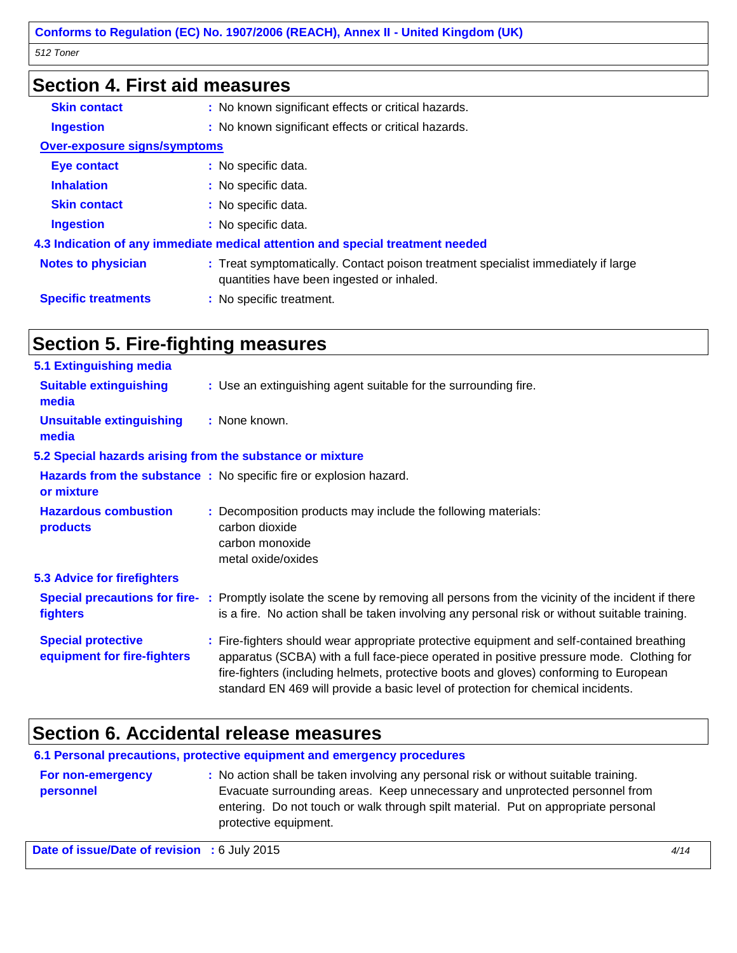| <b>Section 4. First aid measures</b> |                                                                                                                                |  |  |
|--------------------------------------|--------------------------------------------------------------------------------------------------------------------------------|--|--|
| <b>Skin contact</b>                  | : No known significant effects or critical hazards.                                                                            |  |  |
| <b>Ingestion</b>                     | : No known significant effects or critical hazards.                                                                            |  |  |
| <b>Over-exposure signs/symptoms</b>  |                                                                                                                                |  |  |
| <b>Eye contact</b>                   | : No specific data.                                                                                                            |  |  |
| <b>Inhalation</b>                    | : No specific data.                                                                                                            |  |  |
| <b>Skin contact</b>                  | : No specific data.                                                                                                            |  |  |
| <b>Ingestion</b>                     | : No specific data.                                                                                                            |  |  |
|                                      | 4.3 Indication of any immediate medical attention and special treatment needed                                                 |  |  |
| <b>Notes to physician</b>            | : Treat symptomatically. Contact poison treatment specialist immediately if large<br>quantities have been ingested or inhaled. |  |  |
| <b>Specific treatments</b>           | : No specific treatment.                                                                                                       |  |  |

# **Section 5. Fire-fighting measures**

| 5.1 Extinguishing media                                   |                                                                                                                                                                                                                                                                                                                                                                    |
|-----------------------------------------------------------|--------------------------------------------------------------------------------------------------------------------------------------------------------------------------------------------------------------------------------------------------------------------------------------------------------------------------------------------------------------------|
| <b>Suitable extinguishing</b><br>media                    | : Use an extinguishing agent suitable for the surrounding fire.                                                                                                                                                                                                                                                                                                    |
| <b>Unsuitable extinguishing</b><br>media                  | : None known.                                                                                                                                                                                                                                                                                                                                                      |
| 5.2 Special hazards arising from the substance or mixture |                                                                                                                                                                                                                                                                                                                                                                    |
| or mixture                                                | Hazards from the substance: No specific fire or explosion hazard.                                                                                                                                                                                                                                                                                                  |
| <b>Hazardous combustion</b><br>products                   | : Decomposition products may include the following materials:<br>carbon dioxide<br>carbon monoxide<br>metal oxide/oxides                                                                                                                                                                                                                                           |
| 5.3 Advice for firefighters                               |                                                                                                                                                                                                                                                                                                                                                                    |
| fighters                                                  | Special precautions for fire-: Promptly isolate the scene by removing all persons from the vicinity of the incident if there<br>is a fire. No action shall be taken involving any personal risk or without suitable training.                                                                                                                                      |
| <b>Special protective</b><br>equipment for fire-fighters  | : Fire-fighters should wear appropriate protective equipment and self-contained breathing<br>apparatus (SCBA) with a full face-piece operated in positive pressure mode. Clothing for<br>fire-fighters (including helmets, protective boots and gloves) conforming to European<br>standard EN 469 will provide a basic level of protection for chemical incidents. |

### **Section 6. Accidental release measures**

**6.1 Personal precautions, protective equipment and emergency procedures**

| For non-emergency | : No action shall be taken involving any personal risk or without suitable training. |
|-------------------|--------------------------------------------------------------------------------------|
| personnel         | Evacuate surrounding areas. Keep unnecessary and unprotected personnel from          |
|                   | entering. Do not touch or walk through spilt material. Put on appropriate personal   |
|                   | protective equipment.                                                                |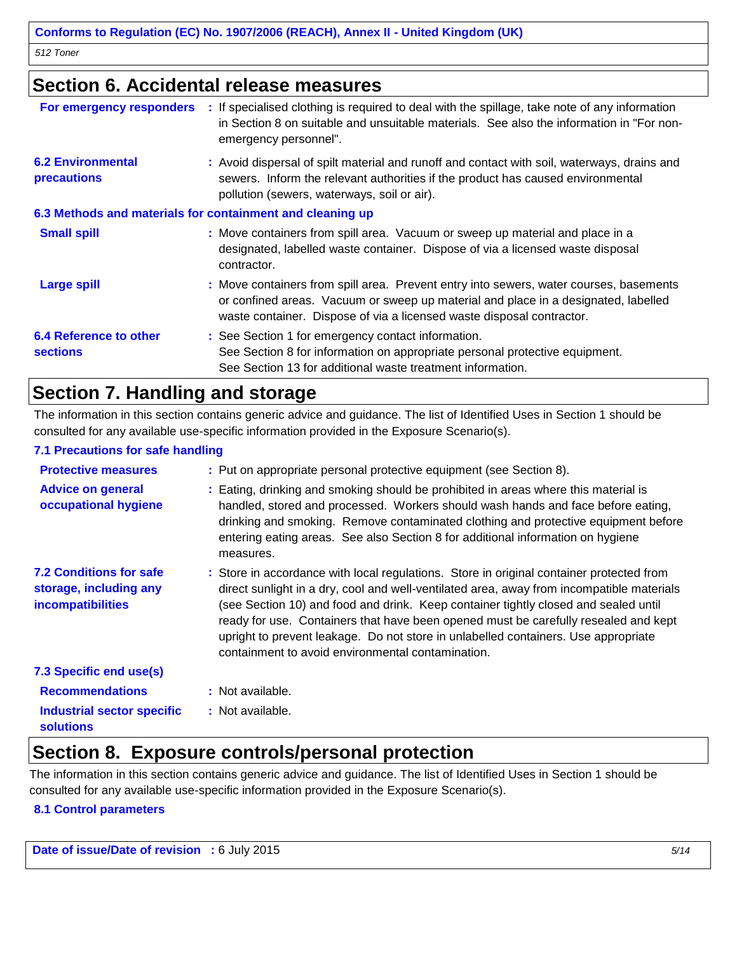### **Section 6. Accidental release measures**

| For emergency responders                                  | : If specialised clothing is required to deal with the spillage, take note of any information<br>in Section 8 on suitable and unsuitable materials. See also the information in "For non-<br>emergency personnel".                                    |  |  |
|-----------------------------------------------------------|-------------------------------------------------------------------------------------------------------------------------------------------------------------------------------------------------------------------------------------------------------|--|--|
| <b>6.2 Environmental</b><br>precautions                   | : Avoid dispersal of spilt material and runoff and contact with soil, waterways, drains and<br>sewers. Inform the relevant authorities if the product has caused environmental<br>pollution (sewers, waterways, soil or air).                         |  |  |
| 6.3 Methods and materials for containment and cleaning up |                                                                                                                                                                                                                                                       |  |  |
| <b>Small spill</b>                                        | : Move containers from spill area. Vacuum or sweep up material and place in a<br>designated, labelled waste container. Dispose of via a licensed waste disposal<br>contractor.                                                                        |  |  |
| <b>Large spill</b>                                        | : Move containers from spill area. Prevent entry into sewers, water courses, basements<br>or confined areas. Vacuum or sweep up material and place in a designated, labelled<br>waste container. Dispose of via a licensed waste disposal contractor. |  |  |
| <b>6.4 Reference to other</b><br><b>sections</b>          | : See Section 1 for emergency contact information.<br>See Section 8 for information on appropriate personal protective equipment.<br>See Section 13 for additional waste treatment information.                                                       |  |  |

### **Section 7. Handling and storage**

The information in this section contains generic advice and guidance. The list of Identified Uses in Section 1 should be consulted for any available use-specific information provided in the Exposure Scenario(s).

#### **7.1 Precautions for safe handling**

| <b>Protective measures</b><br><b>Advice on general</b><br>occupational hygiene | : Put on appropriate personal protective equipment (see Section 8).<br>: Eating, drinking and smoking should be prohibited in areas where this material is<br>handled, stored and processed. Workers should wash hands and face before eating,<br>drinking and smoking. Remove contaminated clothing and protective equipment before<br>entering eating areas. See also Section 8 for additional information on hygiene<br>measures.                                                                           |
|--------------------------------------------------------------------------------|----------------------------------------------------------------------------------------------------------------------------------------------------------------------------------------------------------------------------------------------------------------------------------------------------------------------------------------------------------------------------------------------------------------------------------------------------------------------------------------------------------------|
| <b>7.2 Conditions for safe</b><br>storage, including any<br>incompatibilities  | : Store in accordance with local regulations. Store in original container protected from<br>direct sunlight in a dry, cool and well-ventilated area, away from incompatible materials<br>(see Section 10) and food and drink. Keep container tightly closed and sealed until<br>ready for use. Containers that have been opened must be carefully resealed and kept<br>upright to prevent leakage. Do not store in unlabelled containers. Use appropriate<br>containment to avoid environmental contamination. |
| 7.3 Specific end use(s)                                                        |                                                                                                                                                                                                                                                                                                                                                                                                                                                                                                                |
| <b>Recommendations</b>                                                         | : Not available.                                                                                                                                                                                                                                                                                                                                                                                                                                                                                               |
| <b>Industrial sector specific</b><br><b>solutions</b>                          | : Not available.                                                                                                                                                                                                                                                                                                                                                                                                                                                                                               |

### **Section 8. Exposure controls/personal protection**

The information in this section contains generic advice and guidance. The list of Identified Uses in Section 1 should be consulted for any available use-specific information provided in the Exposure Scenario(s).

#### **8.1 Control parameters**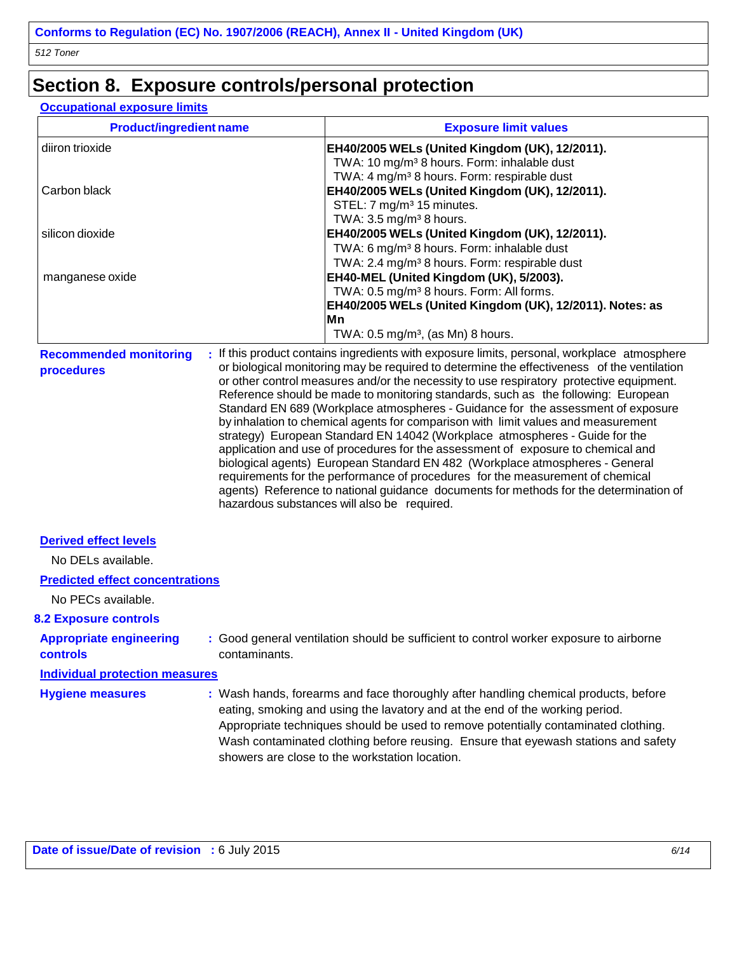### **Section 8. Exposure controls/personal protection**

#### **Occupational exposure limits**

| <b>Product/ingredient name</b> | <b>Exposure limit values</b>                                                                                               |
|--------------------------------|----------------------------------------------------------------------------------------------------------------------------|
| diiron trioxide                | EH40/2005 WELs (United Kingdom (UK), 12/2011).                                                                             |
|                                | TWA: 10 mg/m <sup>3</sup> 8 hours. Form: inhalable dust                                                                    |
|                                | TWA: 4 mg/m <sup>3</sup> 8 hours. Form: respirable dust                                                                    |
| Carbon black                   | EH40/2005 WELs (United Kingdom (UK), 12/2011).                                                                             |
|                                | STEL: 7 mg/m <sup>3</sup> 15 minutes.                                                                                      |
|                                | TWA: $3.5 \text{ mg/m}^3$ 8 hours.                                                                                         |
| silicon dioxide                | EH40/2005 WELs (United Kingdom (UK), 12/2011).                                                                             |
|                                | TWA: 6 mg/m <sup>3</sup> 8 hours. Form: inhalable dust                                                                     |
|                                | TWA: 2.4 mg/m <sup>3</sup> 8 hours. Form: respirable dust                                                                  |
| manganese oxide                | EH40-MEL (United Kingdom (UK), 5/2003).                                                                                    |
|                                | TWA: 0.5 mg/m <sup>3</sup> 8 hours. Form: All forms.                                                                       |
|                                | EH40/2005 WELs (United Kingdom (UK), 12/2011). Notes: as                                                                   |
|                                | lMn                                                                                                                        |
|                                | TWA: $0.5 \text{ mg/m}^3$ , (as Mn) 8 hours.                                                                               |
|                                | <b>Becommended menitoring.</b> If this product contains ingradiants with expected limits, personal workplace, etmographere |

**Recommended monitoring procedures :** If this product contains ingredients with exposure limits, personal, workplace atmosphere or biological monitoring may be required to determine the effectiveness of the ventilation or other control measures and/or the necessity to use respiratory protective equipment. Reference should be made to monitoring standards, such as the following: European Standard EN 689 (Workplace atmospheres - Guidance for the assessment of exposure by inhalation to chemical agents for comparison with limit values and measurement strategy) European Standard EN 14042 (Workplace atmospheres - Guide for the application and use of procedures for the assessment of exposure to chemical and biological agents) European Standard EN 482 (Workplace atmospheres - General requirements for the performance of procedures for the measurement of chemical agents) Reference to national guidance documents for methods for the determination of hazardous substances will also be required.

#### **Derived effect levels**

No DELs available.

#### **Predicted effect concentrations**

No PECs available.

#### **8.2 Exposure controls**

**controls**

**Appropriate engineering** 

**:** Good general ventilation should be sufficient to control worker exposure to airborne contaminants.

#### **Individual protection measures**

**Hygiene measures :** Wash hands, forearms and face thoroughly after handling chemical products, before eating, smoking and using the lavatory and at the end of the working period. Appropriate techniques should be used to remove potentially contaminated clothing. Wash contaminated clothing before reusing. Ensure that eyewash stations and safety showers are close to the workstation location.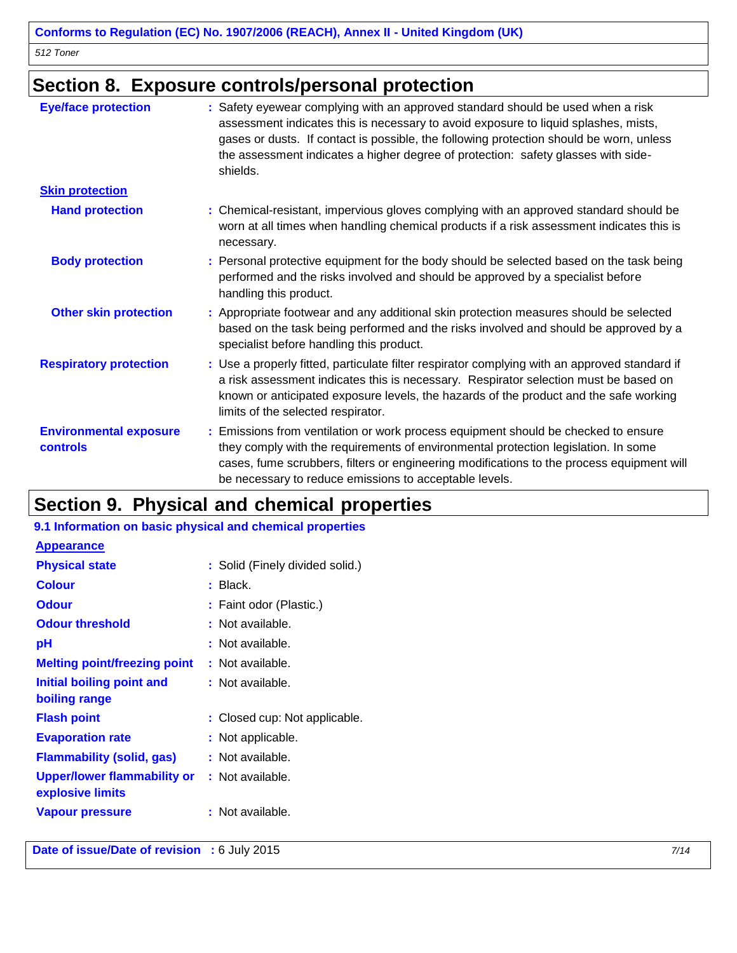## **Section 8. Exposure controls/personal protection**

| <b>Eye/face protection</b>                | : Safety eyewear complying with an approved standard should be used when a risk<br>assessment indicates this is necessary to avoid exposure to liquid splashes, mists,<br>gases or dusts. If contact is possible, the following protection should be worn, unless<br>the assessment indicates a higher degree of protection: safety glasses with side-<br>shields. |
|-------------------------------------------|--------------------------------------------------------------------------------------------------------------------------------------------------------------------------------------------------------------------------------------------------------------------------------------------------------------------------------------------------------------------|
| <b>Skin protection</b>                    |                                                                                                                                                                                                                                                                                                                                                                    |
| <b>Hand protection</b>                    | : Chemical-resistant, impervious gloves complying with an approved standard should be<br>worn at all times when handling chemical products if a risk assessment indicates this is<br>necessary.                                                                                                                                                                    |
| <b>Body protection</b>                    | : Personal protective equipment for the body should be selected based on the task being<br>performed and the risks involved and should be approved by a specialist before<br>handling this product.                                                                                                                                                                |
| <b>Other skin protection</b>              | : Appropriate footwear and any additional skin protection measures should be selected<br>based on the task being performed and the risks involved and should be approved by a<br>specialist before handling this product.                                                                                                                                          |
| <b>Respiratory protection</b>             | : Use a properly fitted, particulate filter respirator complying with an approved standard if<br>a risk assessment indicates this is necessary. Respirator selection must be based on<br>known or anticipated exposure levels, the hazards of the product and the safe working<br>limits of the selected respirator.                                               |
| <b>Environmental exposure</b><br>controls | : Emissions from ventilation or work process equipment should be checked to ensure<br>they comply with the requirements of environmental protection legislation. In some<br>cases, fume scrubbers, filters or engineering modifications to the process equipment will<br>be necessary to reduce emissions to acceptable levels.                                    |

# **Section 9. Physical and chemical properties**

#### **9.1 Information on basic physical and chemical properties**

| <b>Appearance</b>                               |                                 |
|-------------------------------------------------|---------------------------------|
| <b>Physical state</b>                           | : Solid (Finely divided solid.) |
| <b>Colour</b>                                   | $:$ Black.                      |
| <b>Odour</b>                                    | : Faint odor (Plastic.)         |
| <b>Odour threshold</b>                          | : Not available.                |
| рH                                              | : Not available.                |
| <b>Melting point/freezing point</b>             | : Not available.                |
| Initial boiling point and                       | : Not available.                |
| boiling range                                   |                                 |
| <b>Flash point</b>                              | : Closed cup: Not applicable.   |
| <b>Evaporation rate</b>                         | : Not applicable.               |
| <b>Flammability (solid, gas)</b>                | : Not available.                |
| Upper/lower flammability or<br>explosive limits | : Not available.                |
| Vapour pressure                                 | : Not available.                |

**Date of issue/Date of revision** : 6 July 2015<br>
7/14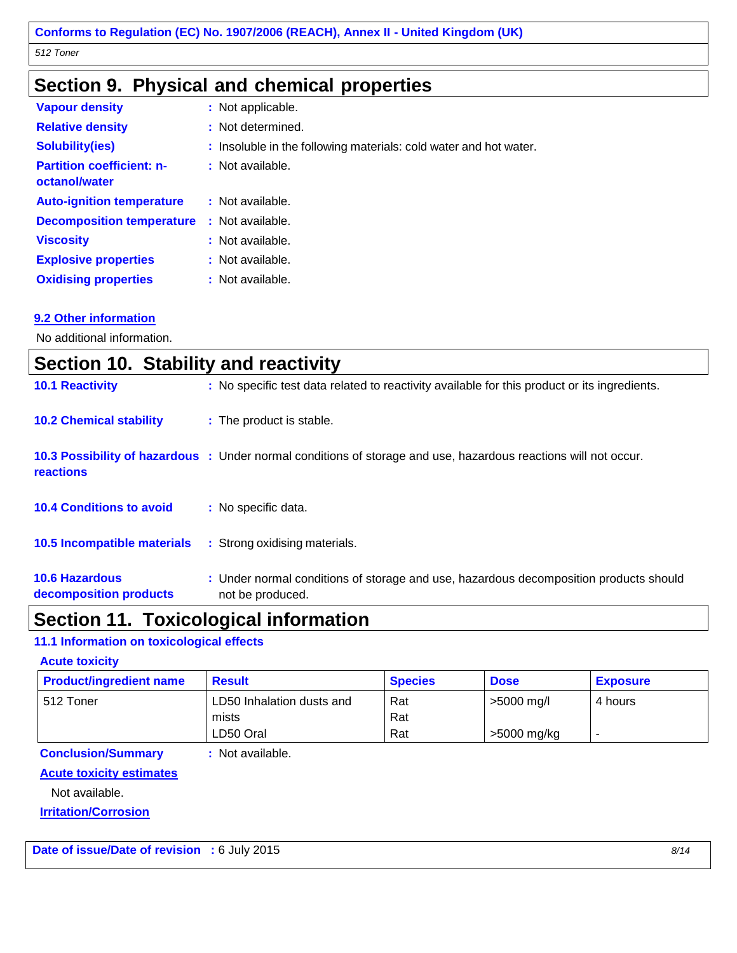### **Section 9. Physical and chemical properties**

| <b>Vapour density</b>                             | : Not applicable.                                                 |
|---------------------------------------------------|-------------------------------------------------------------------|
| <b>Relative density</b>                           | : Not determined.                                                 |
| <b>Solubility(ies)</b>                            | : Insoluble in the following materials: cold water and hot water. |
| <b>Partition coefficient: n-</b><br>octanol/water | : Not available.                                                  |
| <b>Auto-ignition temperature</b>                  | : Not available.                                                  |
| <b>Decomposition temperature</b>                  | : Not available.                                                  |
| <b>Viscosity</b>                                  | : Not available.                                                  |
| <b>Explosive properties</b>                       | : Not available.                                                  |
| <b>Oxidising properties</b>                       | : Not available.                                                  |

#### **9.2 Other information**

No additional information.

| Section 10. Stability and reactivity            |                                                                                                                 |
|-------------------------------------------------|-----------------------------------------------------------------------------------------------------------------|
| <b>10.1 Reactivity</b>                          | : No specific test data related to reactivity available for this product or its ingredients.                    |
| <b>10.2 Chemical stability</b>                  | : The product is stable.                                                                                        |
| <b>reactions</b>                                | 10.3 Possibility of hazardous : Under normal conditions of storage and use, hazardous reactions will not occur. |
| <b>10.4 Conditions to avoid</b>                 | : No specific data.                                                                                             |
| 10.5 Incompatible materials                     | : Strong oxidising materials.                                                                                   |
| <b>10.6 Hazardous</b><br>decomposition products | : Under normal conditions of storage and use, hazardous decomposition products should<br>not be produced.       |

### **Section 11. Toxicological information**

#### **11.1 Information on toxicological effects**

#### **Acute toxicity**

| <b>Product/ingredient name</b> | <b>Result</b>             | <b>Species</b> | <b>Dose</b> | <b>Exposure</b> |
|--------------------------------|---------------------------|----------------|-------------|-----------------|
| 512 Toner                      | LD50 Inhalation dusts and | Rat            | >5000 mg/l  | 4 hours         |
|                                | mists                     | Rat            |             |                 |
|                                | LD50 Oral                 | Rat            | >5000 mg/kg |                 |

#### **Conclusion/Summary :** Not available.

**Acute toxicity estimates**

Not available.

**Irritation/Corrosion**

Date of issue/Date of revision : 6 July 2015<br>
8/14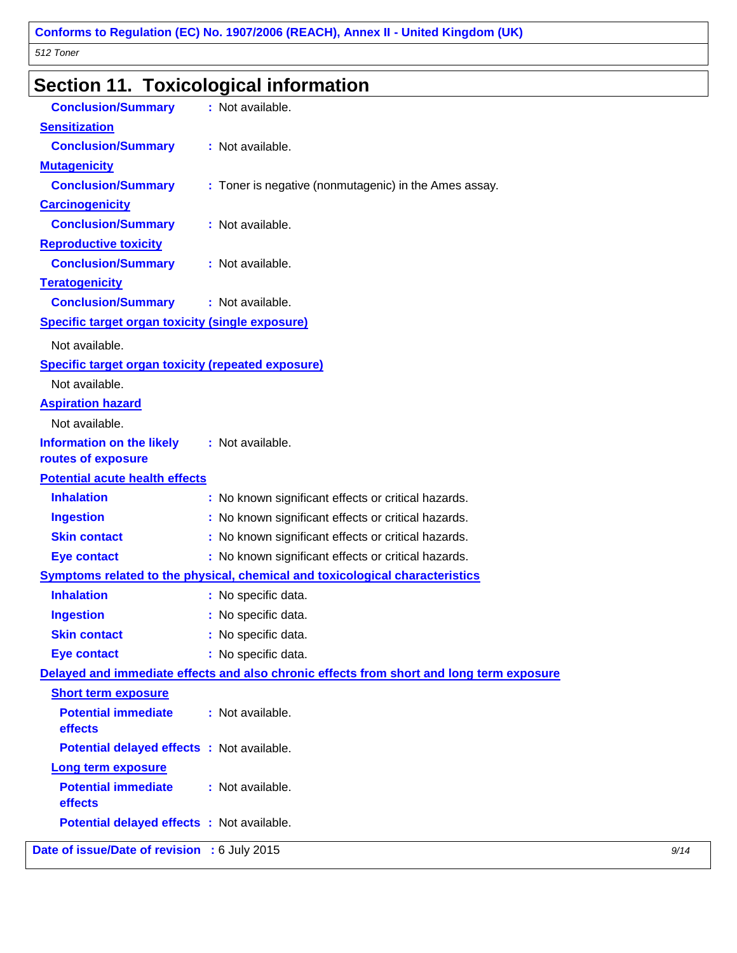# **Section 11. Toxicological information**

| <b>Conclusion/Summary</b>                                 | : Not available.                                                                         |      |
|-----------------------------------------------------------|------------------------------------------------------------------------------------------|------|
| <b>Sensitization</b>                                      |                                                                                          |      |
| <b>Conclusion/Summary</b>                                 | : Not available.                                                                         |      |
| <b>Mutagenicity</b>                                       |                                                                                          |      |
| <b>Conclusion/Summary</b>                                 | : Toner is negative (nonmutagenic) in the Ames assay.                                    |      |
| <b>Carcinogenicity</b>                                    |                                                                                          |      |
| <b>Conclusion/Summary</b>                                 | : Not available.                                                                         |      |
| <b>Reproductive toxicity</b>                              |                                                                                          |      |
| <b>Conclusion/Summary</b>                                 | : Not available.                                                                         |      |
| <b>Teratogenicity</b>                                     |                                                                                          |      |
| <b>Conclusion/Summary</b>                                 | : Not available.                                                                         |      |
| <b>Specific target organ toxicity (single exposure)</b>   |                                                                                          |      |
| Not available.                                            |                                                                                          |      |
| <b>Specific target organ toxicity (repeated exposure)</b> |                                                                                          |      |
| Not available.                                            |                                                                                          |      |
| <b>Aspiration hazard</b>                                  |                                                                                          |      |
| Not available.                                            |                                                                                          |      |
| <b>Information on the likely</b>                          | : Not available.                                                                         |      |
| routes of exposure                                        |                                                                                          |      |
| <b>Potential acute health effects</b>                     |                                                                                          |      |
| <b>Inhalation</b>                                         | : No known significant effects or critical hazards.                                      |      |
| <b>Ingestion</b>                                          | : No known significant effects or critical hazards.                                      |      |
| <b>Skin contact</b>                                       | : No known significant effects or critical hazards.                                      |      |
| <b>Eye contact</b>                                        | : No known significant effects or critical hazards.                                      |      |
|                                                           | Symptoms related to the physical, chemical and toxicological characteristics             |      |
| <b>Inhalation</b>                                         | : No specific data.                                                                      |      |
| <b>Ingestion</b>                                          | : No specific data.                                                                      |      |
| <b>Skin contact</b>                                       | : No specific data.                                                                      |      |
| <b>Eye contact</b>                                        | : No specific data.                                                                      |      |
|                                                           | Delayed and immediate effects and also chronic effects from short and long term exposure |      |
| <b>Short term exposure</b>                                |                                                                                          |      |
| <b>Potential immediate</b><br>effects                     | : Not available.                                                                         |      |
| Potential delayed effects : Not available.                |                                                                                          |      |
| Long term exposure                                        |                                                                                          |      |
| <b>Potential immediate</b><br>effects                     | : Not available.                                                                         |      |
| Potential delayed effects : Not available.                |                                                                                          |      |
| Date of issue/Date of revision : 6 July 2015              |                                                                                          | 9/14 |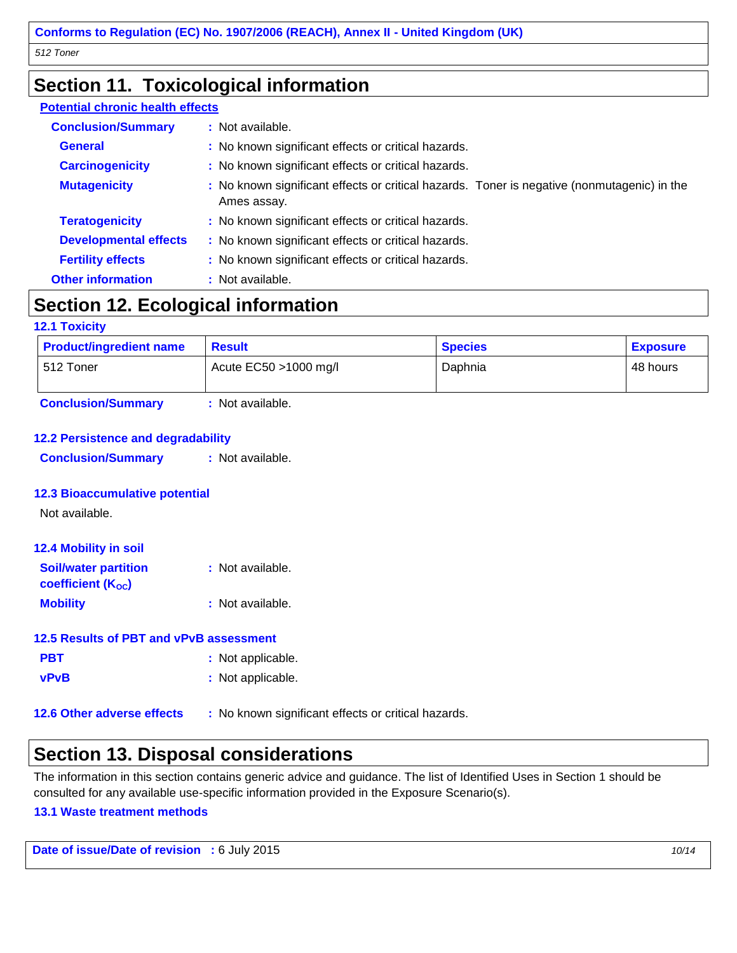### **Section 11. Toxicological information**

#### **Potential chronic health effects**

| <b>Conclusion/Summary</b>    | : Not available.                                                                                           |
|------------------------------|------------------------------------------------------------------------------------------------------------|
| <b>General</b>               | : No known significant effects or critical hazards.                                                        |
| <b>Carcinogenicity</b>       | : No known significant effects or critical hazards.                                                        |
| <b>Mutagenicity</b>          | : No known significant effects or critical hazards. Toner is negative (nonmutagenic) in the<br>Ames assay. |
| <b>Teratogenicity</b>        | : No known significant effects or critical hazards.                                                        |
| <b>Developmental effects</b> | : No known significant effects or critical hazards.                                                        |
| <b>Fertility effects</b>     | : No known significant effects or critical hazards.                                                        |
| <b>Other information</b>     | : Not available.                                                                                           |

### **Section 12. Ecological information**

#### **12.1 Toxicity**

| <b>Product/ingredient name</b><br><b>Result</b> |                          | <b>Species</b> | <b>Exposure</b> |
|-------------------------------------------------|--------------------------|----------------|-----------------|
| 1512 Toner                                      | Acute $EC50 > 1000$ mg/l | Daphnia        | 48 hours        |
| <b>Conclusion/Summary</b>                       | : Not available.         |                |                 |

#### **12.2 Persistence and degradability**

**Conclusion/Summary :** Not available.

#### **12.3 Bioaccumulative potential**

Not available.

| <b>12.4 Mobility in soil</b> |                  |
|------------------------------|------------------|
| <b>Soil/water partition</b>  | : Not available. |
| coefficient $(K_{OC})$       |                  |
| <b>Mobility</b>              | : Not available. |

#### **12.5 Results of PBT and vPvB assessment**

| <b>PBT</b>  | : Not applicable. |
|-------------|-------------------|
| <b>vPvB</b> | : Not applicable. |

**12.6 Other adverse effects :** No known significant effects or critical hazards.

### **Section 13. Disposal considerations**

The information in this section contains generic advice and guidance. The list of Identified Uses in Section 1 should be consulted for any available use-specific information provided in the Exposure Scenario(s).

#### **13.1 Waste treatment methods**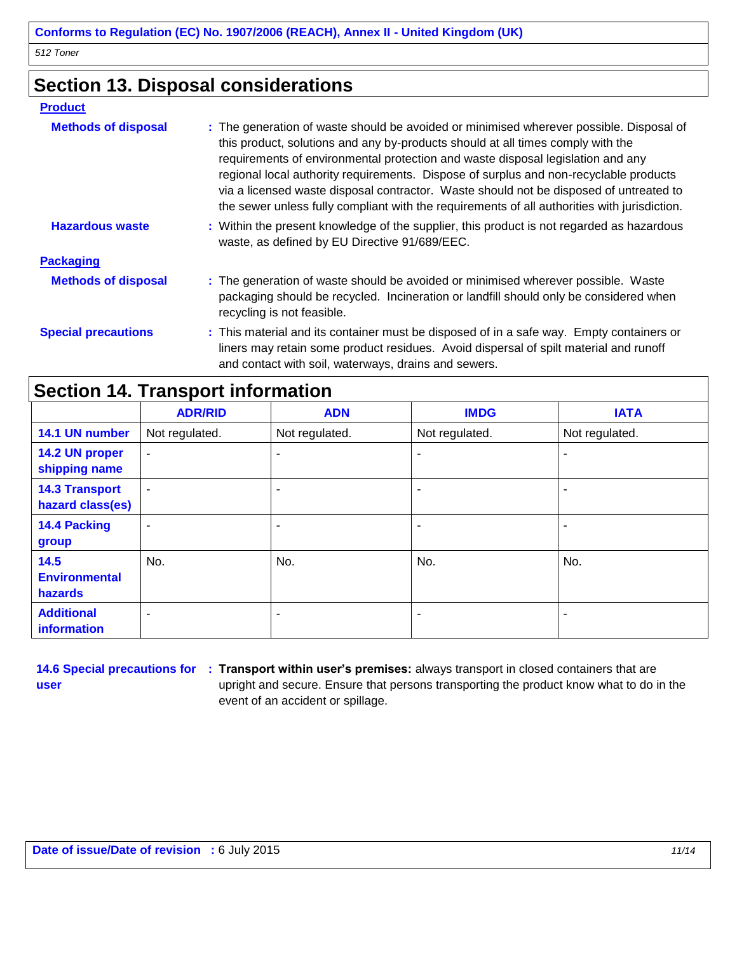### **Section 13. Disposal considerations**

#### **Product**

| <b>Methods of disposal</b> | : The generation of waste should be avoided or minimised wherever possible. Disposal of<br>this product, solutions and any by-products should at all times comply with the<br>requirements of environmental protection and waste disposal legislation and any<br>regional local authority requirements. Dispose of surplus and non-recyclable products<br>via a licensed waste disposal contractor. Waste should not be disposed of untreated to<br>the sewer unless fully compliant with the requirements of all authorities with jurisdiction. |
|----------------------------|--------------------------------------------------------------------------------------------------------------------------------------------------------------------------------------------------------------------------------------------------------------------------------------------------------------------------------------------------------------------------------------------------------------------------------------------------------------------------------------------------------------------------------------------------|
| <b>Hazardous waste</b>     | : Within the present knowledge of the supplier, this product is not regarded as hazardous<br>waste, as defined by EU Directive 91/689/EEC.                                                                                                                                                                                                                                                                                                                                                                                                       |
| <b>Packaging</b>           |                                                                                                                                                                                                                                                                                                                                                                                                                                                                                                                                                  |
| <b>Methods of disposal</b> | : The generation of waste should be avoided or minimised wherever possible. Waste<br>packaging should be recycled. Incineration or landfill should only be considered when<br>recycling is not feasible.                                                                                                                                                                                                                                                                                                                                         |
| <b>Special precautions</b> | : This material and its container must be disposed of in a safe way. Empty containers or<br>liners may retain some product residues. Avoid dispersal of spilt material and runoff<br>and contact with soil, waterways, drains and sewers.                                                                                                                                                                                                                                                                                                        |

## **Section 14. Transport information**

|                                           | <b>ADR/RID</b>           | <b>ADN</b>     | <b>IMDG</b>              | <b>IATA</b>    |
|-------------------------------------------|--------------------------|----------------|--------------------------|----------------|
| 14.1 UN number                            | Not regulated.           | Not regulated. | Not regulated.           | Not regulated. |
| 14.2 UN proper<br>shipping name           | $\overline{\phantom{a}}$ | ۰              | ۰                        |                |
| <b>14.3 Transport</b><br>hazard class(es) | $\sim$                   | ۰              | ۰                        |                |
| 14.4 Packing<br>group                     | ۰                        | -              | $\overline{\phantom{0}}$ |                |
| 14.5<br><b>Environmental</b><br>hazards   | No.                      | No.            | No.                      | No.            |
| <b>Additional</b><br><b>information</b>   |                          | ۰              | $\overline{\phantom{0}}$ |                |

**user**

**14.6 Special precautions for : Transport within user's premises:** always transport in closed containers that are upright and secure. Ensure that persons transporting the product know what to do in the event of an accident or spillage.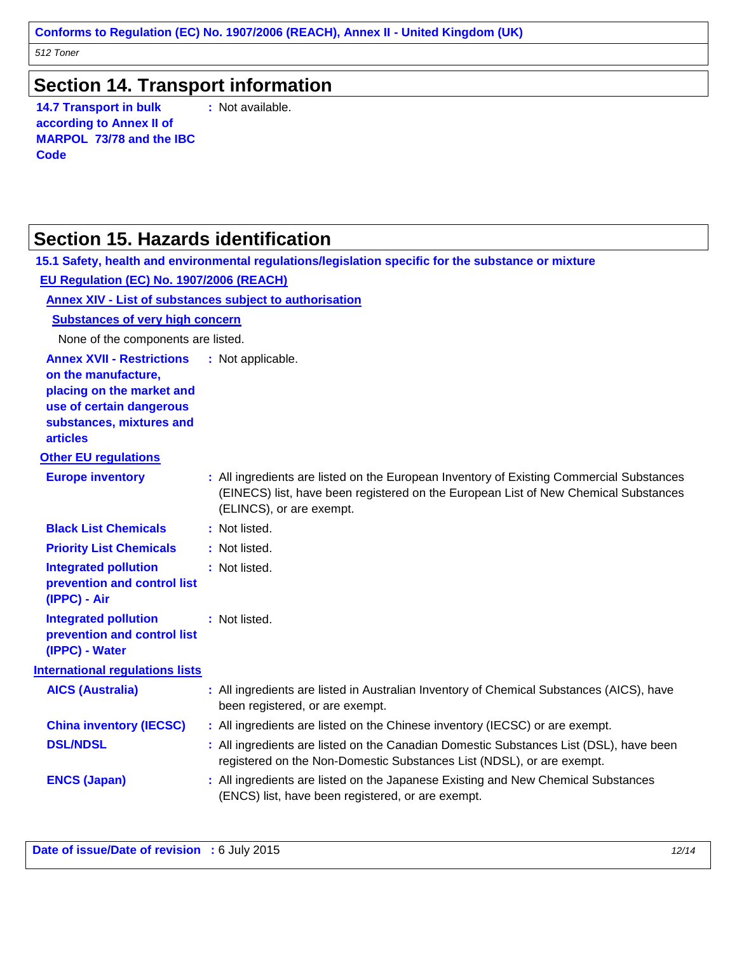### **Section 14. Transport information**

**14.7 Transport in bulk according to Annex II of MARPOL 73/78 and the IBC Code**

**:** Not available.

### **Section 15. Hazards identification**

|                                                                                                                                                                 | 15.1 Safety, health and environmental regulations/legislation specific for the substance or mixture                                                                                                         |
|-----------------------------------------------------------------------------------------------------------------------------------------------------------------|-------------------------------------------------------------------------------------------------------------------------------------------------------------------------------------------------------------|
| EU Regulation (EC) No. 1907/2006 (REACH)                                                                                                                        |                                                                                                                                                                                                             |
|                                                                                                                                                                 | Annex XIV - List of substances subject to authorisation                                                                                                                                                     |
| <b>Substances of very high concern</b>                                                                                                                          |                                                                                                                                                                                                             |
| None of the components are listed.                                                                                                                              |                                                                                                                                                                                                             |
| <b>Annex XVII - Restrictions</b><br>on the manufacture,<br>placing on the market and<br>use of certain dangerous<br>substances, mixtures and<br><b>articles</b> | : Not applicable.                                                                                                                                                                                           |
| <b>Other EU regulations</b>                                                                                                                                     |                                                                                                                                                                                                             |
| <b>Europe inventory</b>                                                                                                                                         | : All ingredients are listed on the European Inventory of Existing Commercial Substances<br>(EINECS) list, have been registered on the European List of New Chemical Substances<br>(ELINCS), or are exempt. |
| <b>Black List Chemicals</b>                                                                                                                                     | : Not listed.                                                                                                                                                                                               |
| <b>Priority List Chemicals</b>                                                                                                                                  | : Not listed.                                                                                                                                                                                               |
| <b>Integrated pollution</b><br>prevention and control list<br>(IPPC) - Air                                                                                      | : Not listed.                                                                                                                                                                                               |
| <b>Integrated pollution</b><br>prevention and control list<br>(IPPC) - Water                                                                                    | : Not listed.                                                                                                                                                                                               |
| <b>International regulations lists</b>                                                                                                                          |                                                                                                                                                                                                             |
| <b>AICS (Australia)</b>                                                                                                                                         | : All ingredients are listed in Australian Inventory of Chemical Substances (AICS), have<br>been registered, or are exempt.                                                                                 |
| <b>China inventory (IECSC)</b>                                                                                                                                  | : All ingredients are listed on the Chinese inventory (IECSC) or are exempt.                                                                                                                                |
| <b>DSL/NDSL</b>                                                                                                                                                 | : All ingredients are listed on the Canadian Domestic Substances List (DSL), have been<br>registered on the Non-Domestic Substances List (NDSL), or are exempt.                                             |
| <b>ENCS (Japan)</b>                                                                                                                                             | : All ingredients are listed on the Japanese Existing and New Chemical Substances<br>(ENCS) list, have been registered, or are exempt.                                                                      |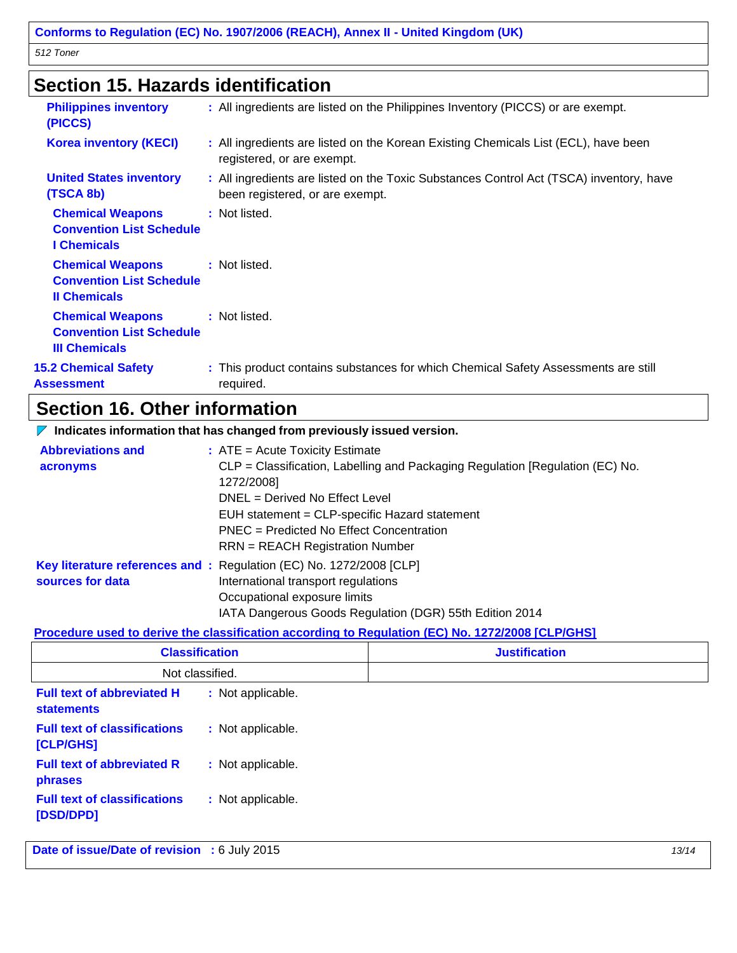### **Section 15. Hazards identification**

| <b>Philippines inventory</b><br>(PICCS)                                            | : All ingredients are listed on the Philippines Inventory (PICCS) or are exempt.                                           |
|------------------------------------------------------------------------------------|----------------------------------------------------------------------------------------------------------------------------|
| <b>Korea inventory (KECI)</b>                                                      | : All ingredients are listed on the Korean Existing Chemicals List (ECL), have been<br>registered, or are exempt.          |
| <b>United States inventory</b><br>(TSCA 8b)                                        | : All ingredients are listed on the Toxic Substances Control Act (TSCA) inventory, have<br>been registered, or are exempt. |
| <b>Chemical Weapons</b><br><b>Convention List Schedule</b><br><b>I</b> Chemicals   | : Not listed.                                                                                                              |
| <b>Chemical Weapons</b><br><b>Convention List Schedule</b><br><b>Il Chemicals</b>  | : Not listed.                                                                                                              |
| <b>Chemical Weapons</b><br><b>Convention List Schedule</b><br><b>III Chemicals</b> | : Not listed.                                                                                                              |
| <b>15.2 Chemical Safety</b><br><b>Assessment</b>                                   | : This product contains substances for which Chemical Safety Assessments are still<br>required.                            |
|                                                                                    |                                                                                                                            |

# **Section 16. Other information**

| $\nabla$ Indicates information that has changed from previously issued version. |                                                                                                                                                                                                                                                                                                           |  |  |  |  |
|---------------------------------------------------------------------------------|-----------------------------------------------------------------------------------------------------------------------------------------------------------------------------------------------------------------------------------------------------------------------------------------------------------|--|--|--|--|
| <b>Abbreviations and</b><br>acronyms                                            | $:$ ATE = Acute Toxicity Estimate<br>CLP = Classification, Labelling and Packaging Regulation [Regulation (EC) No.<br>1272/2008]<br>DNEL = Derived No Effect Level<br>EUH statement = CLP-specific Hazard statement<br>PNEC = Predicted No Effect Concentration<br><b>RRN</b> = REACH Registration Number |  |  |  |  |
| sources for data                                                                | Key literature references and : Regulation (EC) No. 1272/2008 [CLP]<br>International transport regulations<br>Occupational exposure limits<br>IATA Dangerous Goods Regulation (DGR) 55th Edition 2014                                                                                                     |  |  |  |  |

#### **Procedure used to derive the classification according to Regulation (EC) No. 1272/2008 [CLP/GHS]**

| <b>Classification</b>                                  |                   | <b>Justification</b> |
|--------------------------------------------------------|-------------------|----------------------|
| Not classified.                                        |                   |                      |
| <b>Full text of abbreviated H</b><br><b>statements</b> | : Not applicable. |                      |
| <b>Full text of classifications</b><br>[CLP/GHS]       | : Not applicable. |                      |
| <b>Full text of abbreviated R</b><br>phrases           | : Not applicable. |                      |
| <b>Full text of classifications</b><br>[DSD/DPD]       | : Not applicable. |                      |

**Date of issue/Date of revision** : 6 July 2015<br>
13/14